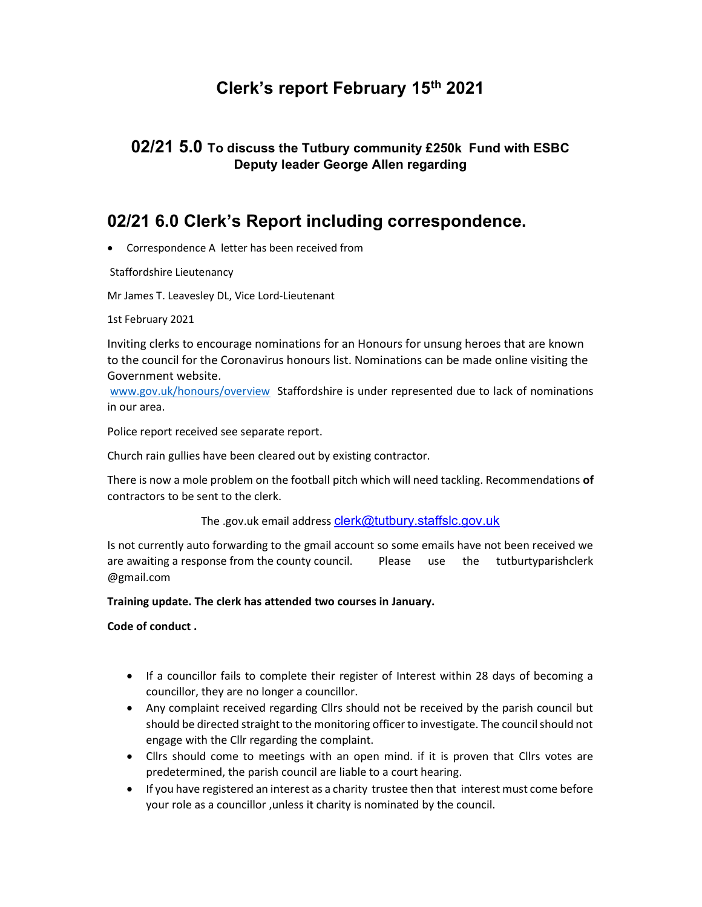# Clerk's report February 15th 2021

#### 02/21 5.0 To discuss the Tutbury community £250k Fund with ESBC Deputy leader George Allen regarding

### 02/21 6.0 Clerk's Report including correspondence.

Correspondence A letter has been received from

Staffordshire Lieutenancy

Mr James T. Leavesley DL, Vice Lord-Lieutenant

1st February 2021

Inviting clerks to encourage nominations for an Honours for unsung heroes that are known to the council for the Coronavirus honours list. Nominations can be made online visiting the Government website.

www.gov.uk/honours/overview Staffordshire is under represented due to lack of nominations in our area.

Police report received see separate report.

Church rain gullies have been cleared out by existing contractor.

There is now a mole problem on the football pitch which will need tackling. Recommendations of contractors to be sent to the clerk.

The .gov.uk email address clerk@tutbury.staffslc.gov.uk

Is not currently auto forwarding to the gmail account so some emails have not been received we are awaiting a response from the county council. Please use the tutburtyparishclerk @gmail.com

#### Training update. The clerk has attended two courses in January.

Code of conduct .

- If a councillor fails to complete their register of Interest within 28 days of becoming a councillor, they are no longer a councillor.
- Any complaint received regarding Cllrs should not be received by the parish council but should be directed straight to the monitoring officer to investigate. The council should not engage with the Cllr regarding the complaint.
- Cllrs should come to meetings with an open mind. if it is proven that Cllrs votes are predetermined, the parish council are liable to a court hearing.
- If you have registered an interest as a charity trustee then that interest must come before your role as a councillor ,unless it charity is nominated by the council.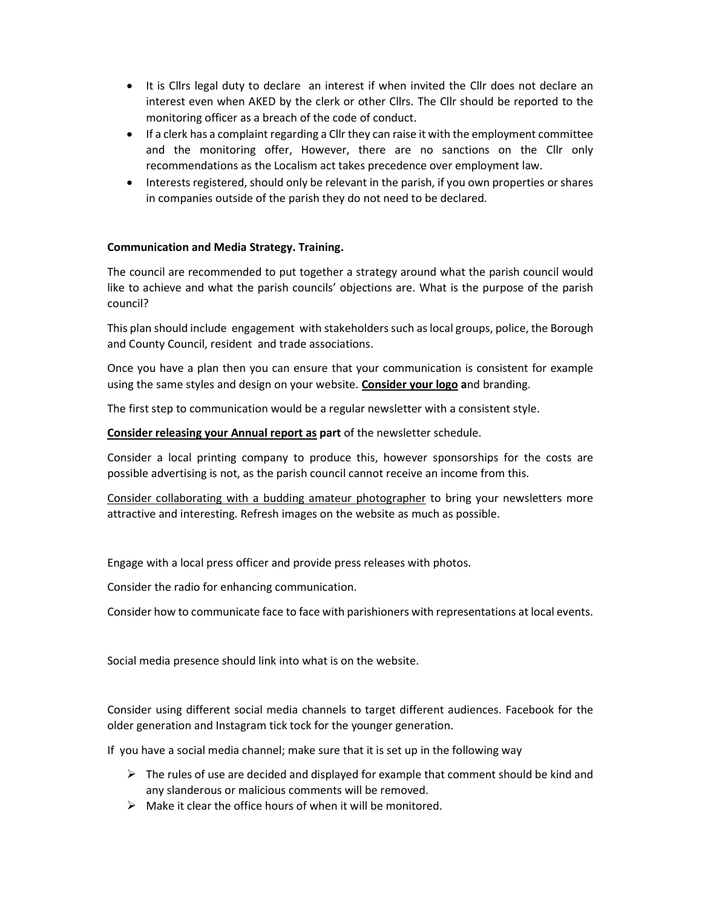- It is Cllrs legal duty to declare an interest if when invited the Cllr does not declare an interest even when AKED by the clerk or other Cllrs. The Cllr should be reported to the monitoring officer as a breach of the code of conduct.
- If a clerk has a complaint regarding a Cllr they can raise it with the employment committee and the monitoring offer, However, there are no sanctions on the Cllr only recommendations as the Localism act takes precedence over employment law.
- Interests registered, should only be relevant in the parish, if you own properties or shares in companies outside of the parish they do not need to be declared.

#### Communication and Media Strategy. Training.

The council are recommended to put together a strategy around what the parish council would like to achieve and what the parish councils' objections are. What is the purpose of the parish council?

This plan should include engagement with stakeholders such as local groups, police, the Borough and County Council, resident and trade associations.

Once you have a plan then you can ensure that your communication is consistent for example using the same styles and design on your website. Consider your logo and branding.

The first step to communication would be a regular newsletter with a consistent style.

Consider releasing your Annual report as part of the newsletter schedule.

Consider a local printing company to produce this, however sponsorships for the costs are possible advertising is not, as the parish council cannot receive an income from this.

Consider collaborating with a budding amateur photographer to bring your newsletters more attractive and interesting. Refresh images on the website as much as possible.

Engage with a local press officer and provide press releases with photos.

Consider the radio for enhancing communication.

Consider how to communicate face to face with parishioners with representations at local events.

Social media presence should link into what is on the website.

Consider using different social media channels to target different audiences. Facebook for the older generation and Instagram tick tock for the younger generation.

If you have a social media channel; make sure that it is set up in the following way

- $\triangleright$  The rules of use are decided and displayed for example that comment should be kind and any slanderous or malicious comments will be removed.
- $\triangleright$  Make it clear the office hours of when it will be monitored.